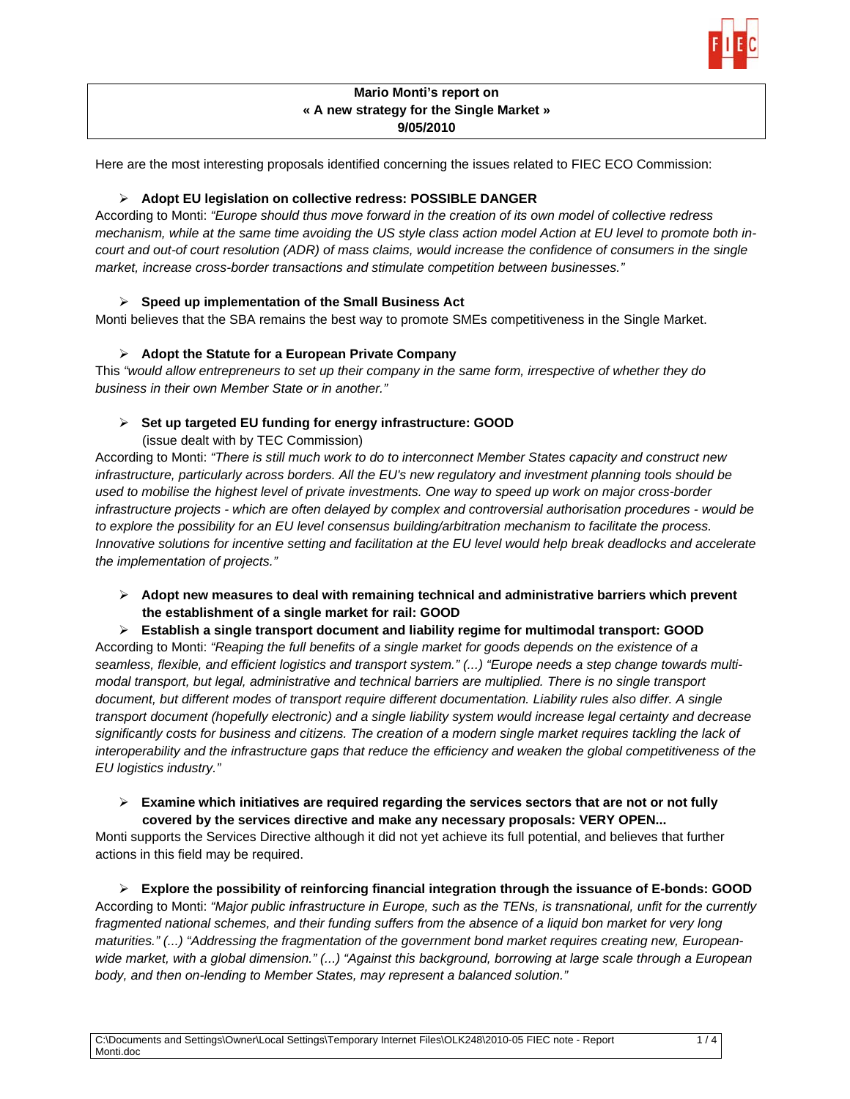

# **Mario Monti's report on « A new strategy for the Single Market » 9/05/2010**

Here are the most interesting proposals identified concerning the issues related to FIEC ECO Commission:

# ¾ **Adopt EU legislation on collective redress: POSSIBLE DANGER**

According to Monti: *"Europe should thus move forward in the creation of its own model of collective redress mechanism, while at the same time avoiding the US style class action model Action at EU level to promote both incourt and out-of court resolution (ADR) of mass claims, would increase the confidence of consumers in the single market, increase cross-border transactions and stimulate competition between businesses."*

## ¾ **Speed up implementation of the Small Business Act**

Monti believes that the SBA remains the best way to promote SMEs competitiveness in the Single Market.

## ¾ **Adopt the Statute for a European Private Company**

This *"would allow entrepreneurs to set up their company in the same form, irrespective of whether they do business in their own Member State or in another."* 

## ¾ **Set up targeted EU funding for energy infrastructure: GOOD**

(issue dealt with by TEC Commission)

According to Monti: *"There is still much work to do to interconnect Member States capacity and construct new infrastructure, particularly across borders. All the EU's new regulatory and investment planning tools should be used to mobilise the highest level of private investments. One way to speed up work on major cross-border infrastructure projects - which are often delayed by complex and controversial authorisation procedures - would be to explore the possibility for an EU level consensus building/arbitration mechanism to facilitate the process. Innovative solutions for incentive setting and facilitation at the EU level would help break deadlocks and accelerate the implementation of projects."* 

- ¾ **Adopt new measures to deal with remaining technical and administrative barriers which prevent the establishment of a single market for rail: GOOD**
- ¾ **Establish a single transport document and liability regime for multimodal transport: GOOD**

According to Monti: *"Reaping the full benefits of a single market for goods depends on the existence of a seamless, flexible, and efficient logistics and transport system." (...) "Europe needs a step change towards multimodal transport, but legal, administrative and technical barriers are multiplied. There is no single transport document, but different modes of transport require different documentation. Liability rules also differ. A single*  transport document (hopefully electronic) and a single liability system would increase legal certainty and decrease significantly costs for business and citizens. The creation of a modern single market requires tackling the lack of interoperability and the infrastructure gaps that reduce the efficiency and weaken the global competitiveness of the *EU logistics industry."* 

#### ¾ **Examine which initiatives are required regarding the services sectors that are not or not fully covered by the services directive and make any necessary proposals: VERY OPEN...**

Monti supports the Services Directive although it did not yet achieve its full potential, and believes that further actions in this field may be required.

¾ **Explore the possibility of reinforcing financial integration through the issuance of E-bonds: GOOD**  According to Monti: *"Major public infrastructure in Europe, such as the TENs, is transnational, unfit for the currently*  fragmented national schemes, and their funding suffers from the absence of a liquid bon market for very long *maturities." (...) "Addressing the fragmentation of the government bond market requires creating new, Europeanwide market, with a global dimension." (...) "Against this background, borrowing at large scale through a European body, and then on-lending to Member States, may represent a balanced solution."*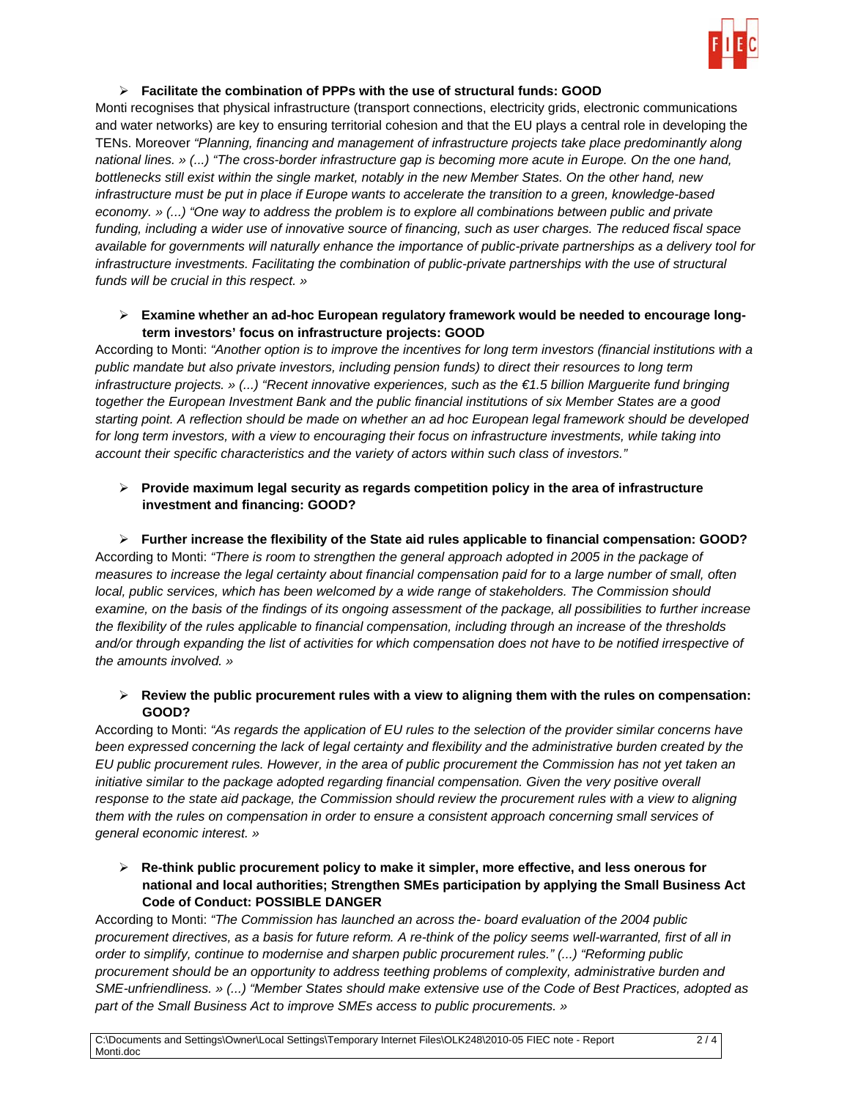

#### ¾ **Facilitate the combination of PPPs with the use of structural funds: GOOD**

Monti recognises that physical infrastructure (transport connections, electricity grids, electronic communications and water networks) are key to ensuring territorial cohesion and that the EU plays a central role in developing the TENs. Moreover *"Planning, financing and management of infrastructure projects take place predominantly along national lines. » (...) "The cross-border infrastructure gap is becoming more acute in Europe. On the one hand, bottlenecks still exist within the single market, notably in the new Member States. On the other hand, new infrastructure must be put in place if Europe wants to accelerate the transition to a green, knowledge-based economy. » (...) "One way to address the problem is to explore all combinations between public and private funding, including a wider use of innovative source of financing, such as user charges. The reduced fiscal space available for governments will naturally enhance the importance of public-private partnerships as a delivery tool for infrastructure investments. Facilitating the combination of public-private partnerships with the use of structural funds will be crucial in this respect. »* 

## ¾ **Examine whether an ad-hoc European regulatory framework would be needed to encourage longterm investors' focus on infrastructure projects: GOOD**

According to Monti: *"Another option is to improve the incentives for long term investors (financial institutions with a public mandate but also private investors, including pension funds) to direct their resources to long term infrastructure projects. » (...) "Recent innovative experiences, such as the €1.5 billion Marguerite fund bringing together the European Investment Bank and the public financial institutions of six Member States are a good starting point. A reflection should be made on whether an ad hoc European legal framework should be developed*  for long term investors, with a view to encouraging their focus on infrastructure investments, while taking into *account their specific characteristics and the variety of actors within such class of investors."* 

# ¾ **Provide maximum legal security as regards competition policy in the area of infrastructure investment and financing: GOOD?**

# ¾ **Further increase the flexibility of the State aid rules applicable to financial compensation: GOOD?**

According to Monti: *"There is room to strengthen the general approach adopted in 2005 in the package of measures to increase the legal certainty about financial compensation paid for to a large number of small, often local, public services, which has been welcomed by a wide range of stakeholders. The Commission should examine, on the basis of the findings of its ongoing assessment of the package, all possibilities to further increase the flexibility of the rules applicable to financial compensation, including through an increase of the thresholds*  and/or through expanding the list of activities for which compensation does not have to be notified irrespective of *the amounts involved. »* 

## ¾ **Review the public procurement rules with a view to aligning them with the rules on compensation: GOOD?**

According to Monti: *"As regards the application of EU rules to the selection of the provider similar concerns have been expressed concerning the lack of legal certainty and flexibility and the administrative burden created by the EU public procurement rules. However, in the area of public procurement the Commission has not yet taken an initiative similar to the package adopted regarding financial compensation. Given the very positive overall* response to the state aid package, the Commission should review the procurement rules with a view to aligning *them with the rules on compensation in order to ensure a consistent approach concerning small services of general economic interest. »*

# ¾ **Re-think public procurement policy to make it simpler, more effective, and less onerous for national and local authorities; Strengthen SMEs participation by applying the Small Business Act Code of Conduct: POSSIBLE DANGER**

According to Monti: *"The Commission has launched an across the- board evaluation of the 2004 public procurement directives, as a basis for future reform. A re-think of the policy seems well-warranted, first of all in order to simplify, continue to modernise and sharpen public procurement rules." (...) "Reforming public procurement should be an opportunity to address teething problems of complexity, administrative burden and SME-unfriendliness. » (...) "Member States should make extensive use of the Code of Best Practices, adopted as part of the Small Business Act to improve SMEs access to public procurements. »*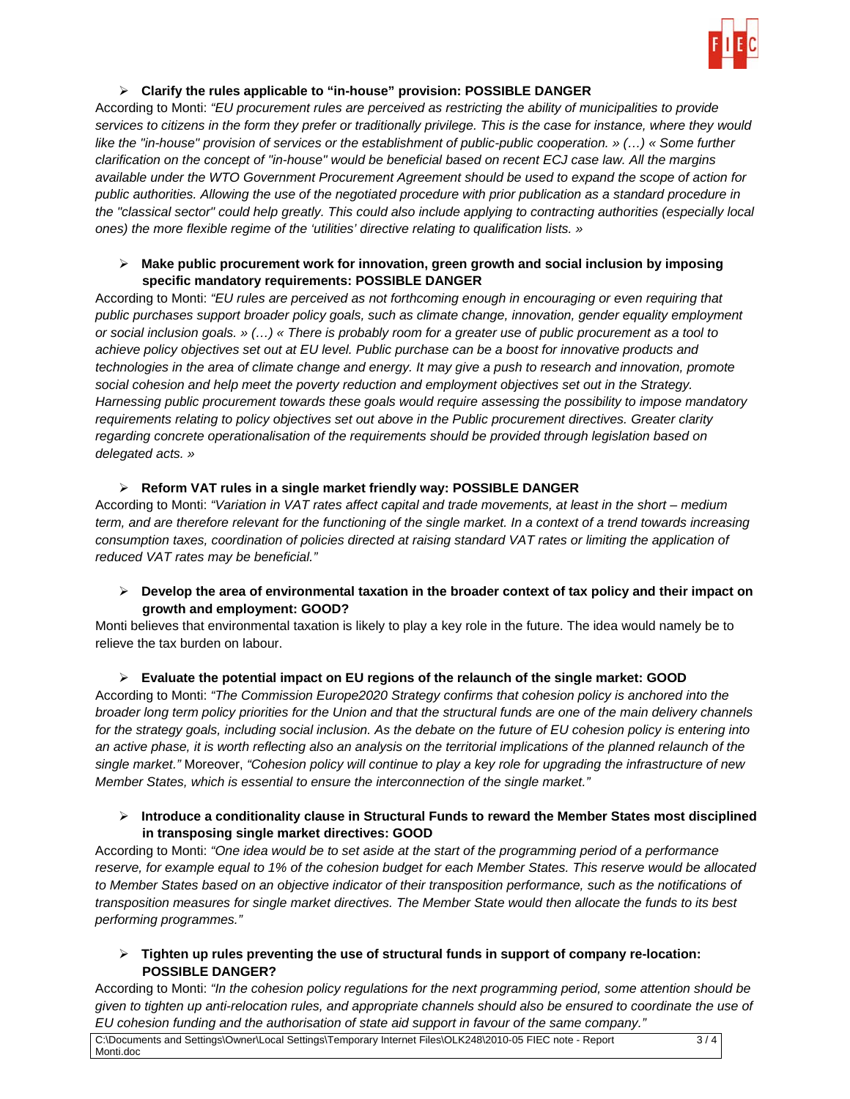

# ¾ **Clarify the rules applicable to "in-house" provision: POSSIBLE DANGER**

According to Monti: *"EU procurement rules are perceived as restricting the ability of municipalities to provide services to citizens in the form they prefer or traditionally privilege. This is the case for instance, where they would like the "in-house" provision of services or the establishment of public-public cooperation.* » (...) « Some further *clarification on the concept of "in-house" would be beneficial based on recent ECJ case law. All the margins available under the WTO Government Procurement Agreement should be used to expand the scope of action for public authorities. Allowing the use of the negotiated procedure with prior publication as a standard procedure in the "classical sector" could help greatly. This could also include applying to contracting authorities (especially local ones) the more flexible regime of the 'utilities' directive relating to qualification lists. »*

### ¾ **Make public procurement work for innovation, green growth and social inclusion by imposing specific mandatory requirements: POSSIBLE DANGER**

According to Monti: *"EU rules are perceived as not forthcoming enough in encouraging or even requiring that public purchases support broader policy goals, such as climate change, innovation, gender equality employment or social inclusion goals. » (…) « There is probably room for a greater use of public procurement as a tool to achieve policy objectives set out at EU level. Public purchase can be a boost for innovative products and technologies in the area of climate change and energy. It may give a push to research and innovation, promote social cohesion and help meet the poverty reduction and employment objectives set out in the Strategy. Harnessing public procurement towards these goals would require assessing the possibility to impose mandatory requirements relating to policy objectives set out above in the Public procurement directives. Greater clarity regarding concrete operationalisation of the requirements should be provided through legislation based on delegated acts. »* 

# ¾ **Reform VAT rules in a single market friendly way: POSSIBLE DANGER**

According to Monti: *"Variation in VAT rates affect capital and trade movements, at least in the short – medium term, and are therefore relevant for the functioning of the single market. In a context of a trend towards increasing consumption taxes, coordination of policies directed at raising standard VAT rates or limiting the application of reduced VAT rates may be beneficial."*

¾ **Develop the area of environmental taxation in the broader context of tax policy and their impact on growth and employment: GOOD?** 

Monti believes that environmental taxation is likely to play a key role in the future. The idea would namely be to relieve the tax burden on labour.

# ¾ **Evaluate the potential impact on EU regions of the relaunch of the single market: GOOD**

According to Monti: *"The Commission Europe2020 Strategy confirms that cohesion policy is anchored into the broader long term policy priorities for the Union and that the structural funds are one of the main delivery channels*  for the strategy goals, including social inclusion. As the debate on the future of EU cohesion policy is entering into *an active phase, it is worth reflecting also an analysis on the territorial implications of the planned relaunch of the single market."* Moreover, *"Cohesion policy will continue to play a key role for upgrading the infrastructure of new Member States, which is essential to ensure the interconnection of the single market."*

## ¾ **Introduce a conditionality clause in Structural Funds to reward the Member States most disciplined in transposing single market directives: GOOD**

According to Monti: *"One idea would be to set aside at the start of the programming period of a performance*  reserve, for example equal to 1% of the cohesion budget for each Member States. This reserve would be allocated to Member States based on an objective indicator of their transposition performance, such as the notifications of *transposition measures for single market directives. The Member State would then allocate the funds to its best performing programmes."*

# ¾ **Tighten up rules preventing the use of structural funds in support of company re-location: POSSIBLE DANGER?**

According to Monti: *"In the cohesion policy regulations for the next programming period, some attention should be given to tighten up anti-relocation rules, and appropriate channels should also be ensured to coordinate the use of EU cohesion funding and the authorisation of state aid support in favour of the same company."*

C:\Documents and Settings\Owner\Local Settings\Temporary Internet Files\OLK248\2010-05 FIEC note - Report Monti.doc